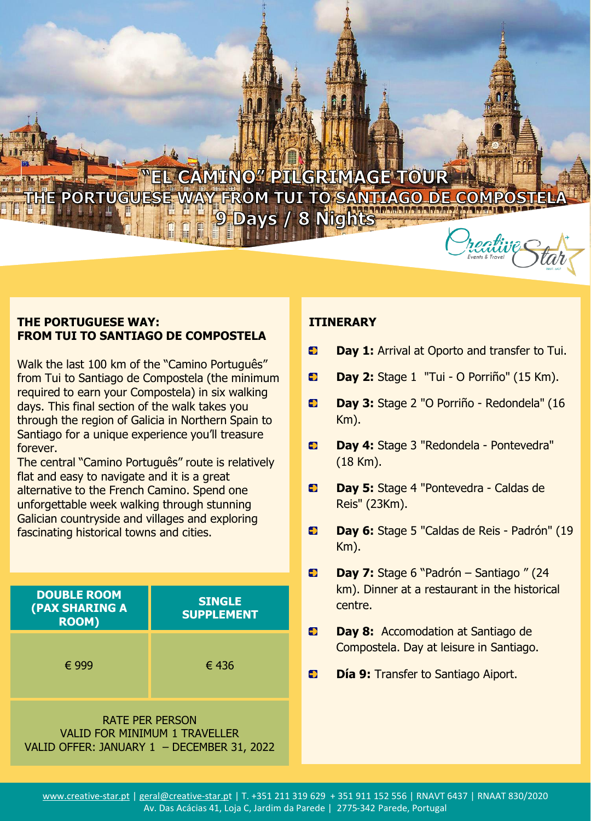# **YEL CAMINO" PILGRIMAGE TOUR** HE PORTUGUESE WAY FROM TUI TO SANTIAGO DE COM 9 Days / 8 Nights

### **THE PORTUGUESE WAY: FROM TUI TO SANTIAGO DE COMPOSTELA**

Walk the last 100 km of the "Camino Português" from Tui to Santiago de Compostela (the minimum required to earn your Compostela) in six walking days. This final section of the walk takes you through the region of Galicia in Northern Spain to Santiago for a unique experience you'll treasure forever.

The central "Camino Português" route is relatively flat and easy to navigate and it is a great alternative to the French Camino. Spend one unforgettable week walking through stunning Galician countryside and villages and exploring fascinating historical towns and cities.

| <b>DOUBLE ROOM</b><br>(PAX SHARING A<br><b>ROOM)</b> | <b>SINGLE</b><br><b>SUPPLEMENT</b> |
|------------------------------------------------------|------------------------------------|
| € 999                                                | € 436                              |

RATE PER PERSON VALID FOR MINIMUM 1 TRAVELLER VALID OFFER: JANUARY 1 – DECEMBER 31, 2022

## **ITINERARY**

- $\bullet$ **Day 1:** Arrival at Oporto and transfer to Tui.
- $\overline{\phantom{a}}$ **Day 2:** Stage 1 "Tui - O Porriño" (15 Km).
- $\bullet$ **Day 3:** Stage 2 "O Porriño - Redondela" (16 Km).
- $\bullet$ **Day 4:** Stage 3 "Redondela - Pontevedra" (18 Km).
- Ð **Day 5:** Stage 4 "Pontevedra - Caldas de Reis" (23Km).
- $\bullet$ **Day 6:** Stage 5 "Caldas de Reis - Padrón" (19 Km).
- **Day 7:** Stage 6 "Padrón Santiago " (24  $\blacktriangleright$ km). Dinner at a restaurant in the historical centre.
- $\rightarrow$ **Day 8:** Accomodation at Santiago de Compostela. Day at leisure in Santiago.
- $\bullet$ **Día 9:** Transfer to Santiago Aiport.